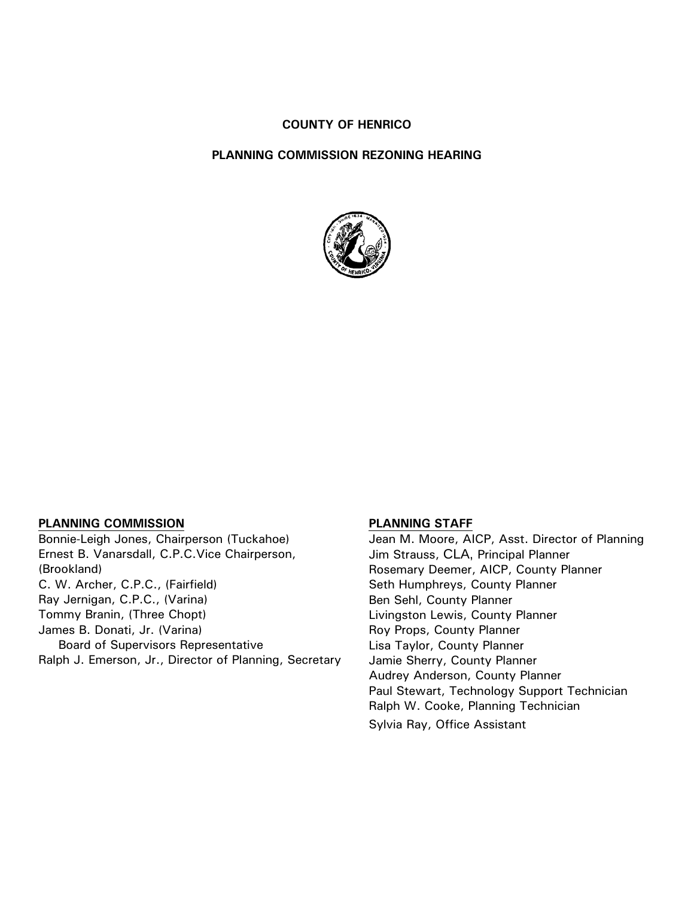#### **COUNTY OF HENRICO**

#### **PLANNING COMMISSION REZONING HEARING**



#### **PLANNING COMMISSION**

Bonnie-Leigh Jones, Chairperson (Tuckahoe) Ernest B. Vanarsdall, C.P.C.Vice Chairperson, (Brookland) C. W. Archer, C.P.C., (Fairfield) Ray Jernigan, C.P.C., (Varina) Tommy Branin, (Three Chopt) James B. Donati, Jr. (Varina) Board of Supervisors Representative Ralph J. Emerson, Jr., Director of Planning, Secretary

#### **PLANNING STAFF**

Jean M. Moore, AICP, Asst. Director of Planning Jim Strauss, CLA, Principal Planner Rosemary Deemer, AICP, County Planner Seth Humphreys, County Planner Ben Sehl, County Planner Livingston Lewis, County Planner Roy Props, County Planner Lisa Taylor, County Planner Jamie Sherry, County Planner Audrey Anderson, County Planner Paul Stewart, Technology Support Technician Ralph W. Cooke, Planning Technician Sylvia Ray, Office Assistant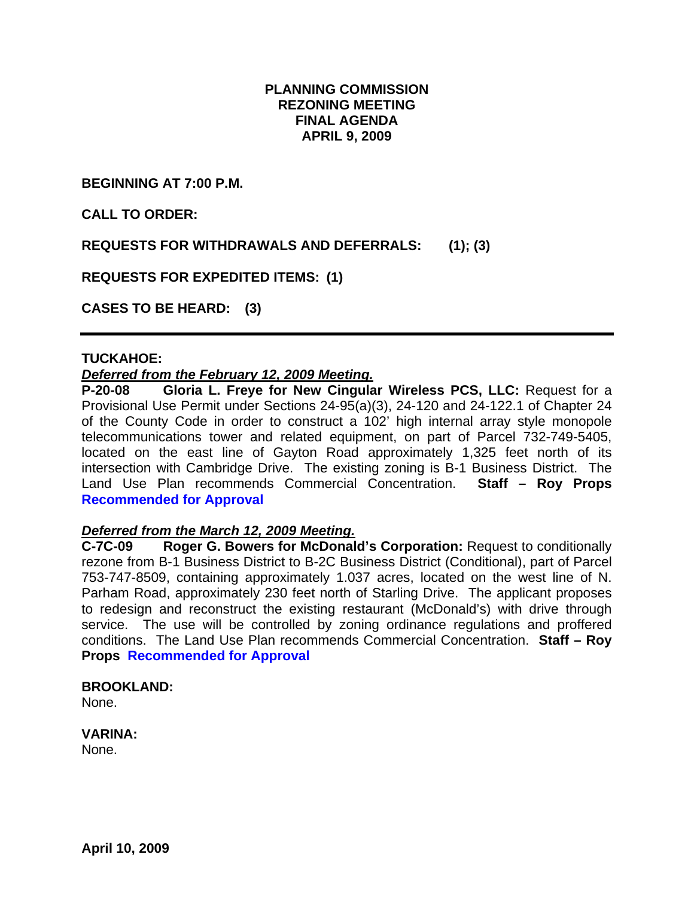## **PLANNING COMMISSION REZONING MEETING FINAL AGENDA APRIL 9, 2009**

**BEGINNING AT 7:00 P.M.** 

**CALL TO ORDER:** 

**REQUESTS FOR WITHDRAWALS AND DEFERRALS: (1); (3)** 

**REQUESTS FOR EXPEDITED ITEMS: (1)** 

**CASES TO BE HEARD: (3)** 

### **TUCKAHOE:**

### *Deferred from the February 12, 2009 Meeting.*

**P-20-08 Gloria L. Freye for New Cingular Wireless PCS, LLC:** Request for a Provisional Use Permit under Sections 24-95(a)(3), 24-120 and 24-122.1 of Chapter 24 of the County Code in order to construct a 102' high internal array style monopole telecommunications tower and related equipment, on part of Parcel 732-749-5405, located on the east line of Gayton Road approximately 1,325 feet north of its intersection with Cambridge Drive. The existing zoning is B-1 Business District. The Land Use Plan recommends Commercial Concentration. **Staff – Roy Props Recommended for Approval**

#### *Deferred from the March 12, 2009 Meeting.*

**C-7C-09 Roger G. Bowers for McDonald's Corporation:** Request to conditionally rezone from B-1 Business District to B-2C Business District (Conditional), part of Parcel 753-747-8509, containing approximately 1.037 acres, located on the west line of N. Parham Road, approximately 230 feet north of Starling Drive. The applicant proposes to redesign and reconstruct the existing restaurant (McDonald's) with drive through service. The use will be controlled by zoning ordinance regulations and proffered conditions. The Land Use Plan recommends Commercial Concentration. **Staff – Roy Props Recommended for Approval** 

#### **BROOKLAND:**

None.

## **VARINA:**

None.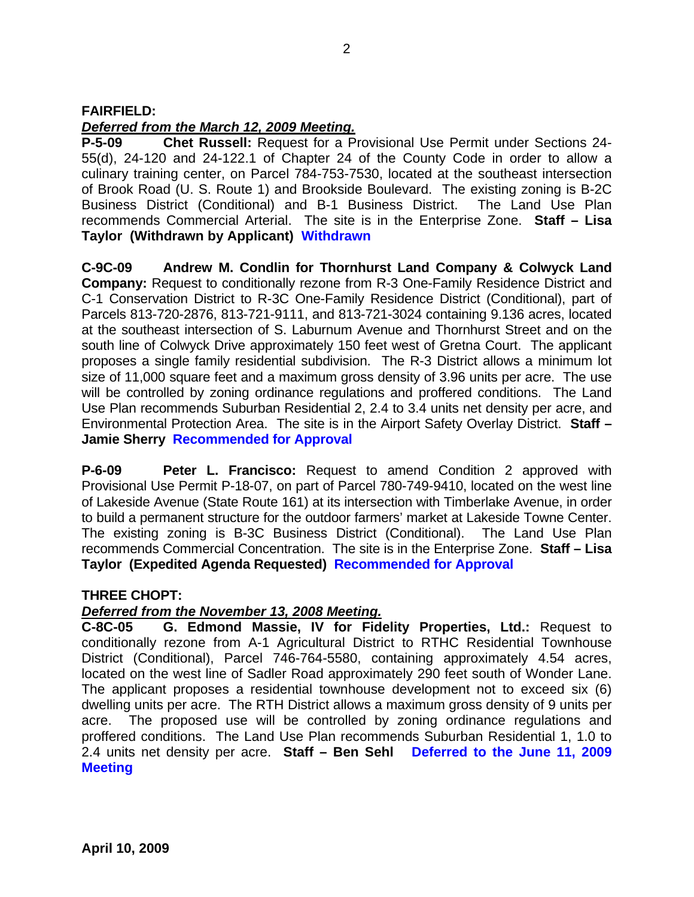## **FAIRFIELD:**

## *Deferred from the March 12, 2009 Meeting.*

**P-5-09 Chet Russell:** Request for a Provisional Use Permit under Sections 24- 55(d), 24-120 and 24-122.1 of Chapter 24 of the County Code in order to allow a culinary training center, on Parcel 784-753-7530, located at the southeast intersection of Brook Road (U. S. Route 1) and Brookside Boulevard. The existing zoning is B-2C Business District (Conditional) and B-1 Business District. The Land Use Plan recommends Commercial Arterial. The site is in the Enterprise Zone. **Staff – Lisa Taylor (Withdrawn by Applicant) Withdrawn**

**C-9C-09 Andrew M. Condlin for Thornhurst Land Company & Colwyck Land Company:** Request to conditionally rezone from R-3 One-Family Residence District and C-1 Conservation District to R-3C One-Family Residence District (Conditional), part of Parcels 813-720-2876, 813-721-9111, and 813-721-3024 containing 9.136 acres, located at the southeast intersection of S. Laburnum Avenue and Thornhurst Street and on the south line of Colwyck Drive approximately 150 feet west of Gretna Court. The applicant proposes a single family residential subdivision. The R-3 District allows a minimum lot size of 11,000 square feet and a maximum gross density of 3.96 units per acre. The use will be controlled by zoning ordinance regulations and proffered conditions. The Land Use Plan recommends Suburban Residential 2, 2.4 to 3.4 units net density per acre, and Environmental Protection Area. The site is in the Airport Safety Overlay District. **Staff – Jamie Sherry Recommended for Approval** 

**P-6-09 Peter L. Francisco:** Request to amend Condition 2 approved with Provisional Use Permit P-18-07, on part of Parcel 780-749-9410, located on the west line of Lakeside Avenue (State Route 161) at its intersection with Timberlake Avenue, in order to build a permanent structure for the outdoor farmers' market at Lakeside Towne Center. The existing zoning is B-3C Business District (Conditional). The Land Use Plan recommends Commercial Concentration. The site is in the Enterprise Zone. **Staff – Lisa Taylor (Expedited Agenda Requested) Recommended for Approval** 

#### **THREE CHOPT:**

## *Deferred from the November 13, 2008 Meeting.*

**C-8C-05 G. Edmond Massie, IV for Fidelity Properties, Ltd.:** Request to conditionally rezone from A-1 Agricultural District to RTHC Residential Townhouse District (Conditional), Parcel 746-764-5580, containing approximately 4.54 acres, located on the west line of Sadler Road approximately 290 feet south of Wonder Lane. The applicant proposes a residential townhouse development not to exceed six (6) dwelling units per acre. The RTH District allows a maximum gross density of 9 units per acre. The proposed use will be controlled by zoning ordinance regulations and proffered conditions. The Land Use Plan recommends Suburban Residential 1, 1.0 to 2.4 units net density per acre. **Staff – Ben Sehl Deferred to the June 11, 2009 Meeting**